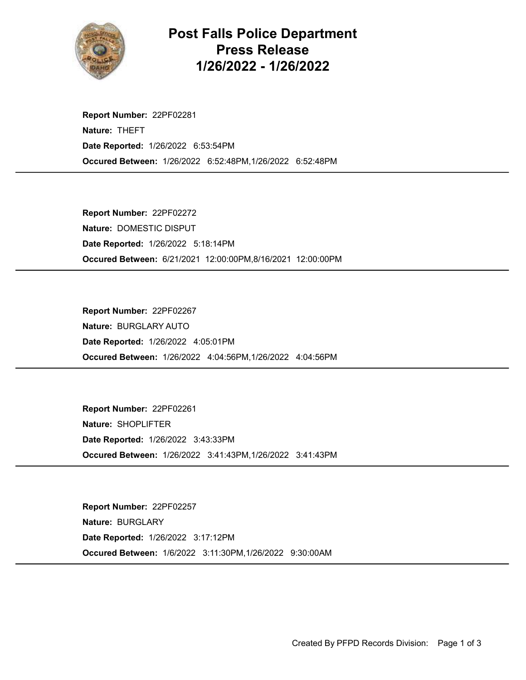

Post Falls Police Department Press Release 1/26/2022 - 1/26/2022

Occured Between: 1/26/2022 6:52:48PM,1/26/2022 6:52:48PM Report Number: 22PF02281 Nature: THEFT Date Reported: 1/26/2022 6:53:54PM

Occured Between: 6/21/2021 12:00:00PM,8/16/2021 12:00:00PM Report Number: 22PF02272 Nature: DOMESTIC DISPUT Date Reported: 1/26/2022 5:18:14PM

Occured Between: 1/26/2022 4:04:56PM,1/26/2022 4:04:56PM Report Number: 22PF02267 Nature: BURGLARY AUTO Date Reported: 1/26/2022 4:05:01PM

Occured Between: 1/26/2022 3:41:43PM,1/26/2022 3:41:43PM Report Number: 22PF02261 Nature: SHOPLIFTER Date Reported: 1/26/2022 3:43:33PM

Occured Between: 1/6/2022 3:11:30PM,1/26/2022 9:30:00AM Report Number: 22PF02257 Nature: BURGLARY Date Reported: 1/26/2022 3:17:12PM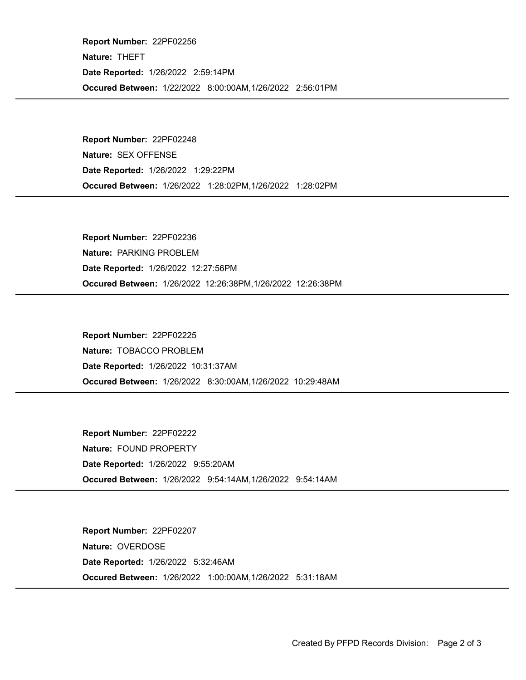Occured Between: 1/22/2022 8:00:00AM,1/26/2022 2:56:01PM Report Number: 22PF02256 Nature: THEFT Date Reported: 1/26/2022 2:59:14PM

Occured Between: 1/26/2022 1:28:02PM,1/26/2022 1:28:02PM Report Number: 22PF02248 Nature: SEX OFFENSE Date Reported: 1/26/2022 1:29:22PM

Occured Between: 1/26/2022 12:26:38PM,1/26/2022 12:26:38PM Report Number: 22PF02236 Nature: PARKING PROBLEM Date Reported: 1/26/2022 12:27:56PM

Occured Between: 1/26/2022 8:30:00AM,1/26/2022 10:29:48AM Report Number: 22PF02225 Nature: TOBACCO PROBLEM Date Reported: 1/26/2022 10:31:37AM

Occured Between: 1/26/2022 9:54:14AM,1/26/2022 9:54:14AM Report Number: 22PF02222 Nature: FOUND PROPERTY Date Reported: 1/26/2022 9:55:20AM

Occured Between: 1/26/2022 1:00:00AM,1/26/2022 5:31:18AM Report Number: 22PF02207 Nature: OVERDOSE Date Reported: 1/26/2022 5:32:46AM